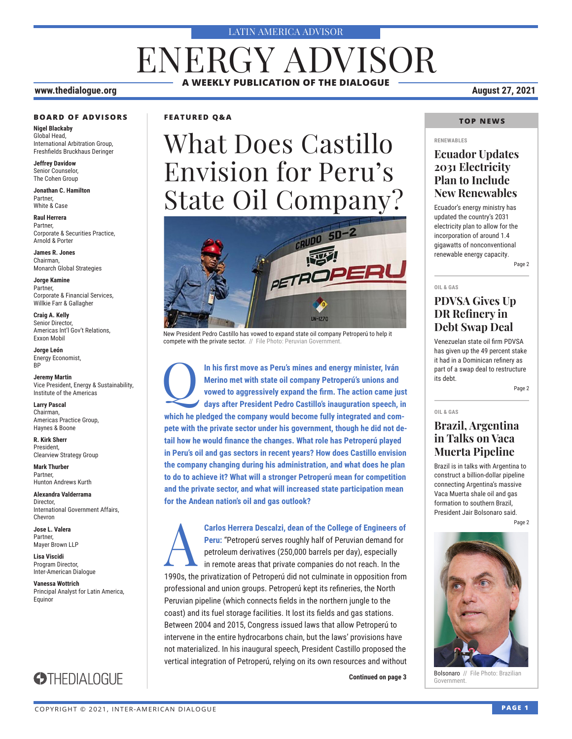#### LATIN AMERICA ADVISOR

# ENERGY ADVISOR **A WEEKLY PUBLICATION OF THE DIALOGUE**

#### **www.thedialogue.org August 27, 2021**

#### **BOARD OF ADVISORS**

**Nigel Blackaby** Global Head, International Arbitration Group, Freshfields Bruckhaus Deringer

**Jeffrey Davidow** Senior Counselor, The Cohen Group

**Jonathan C. Hamilton** Partner, White & Case

**Raul Herrera** Partner, Corporate & Securities Practice, Arnold & Porter

**James R. Jones** Chairman, Monarch Global Strategies

**Jorge Kamine** Partner, Corporate & Financial Services, Willkie Farr & Gallagher

**Craig A. Kelly** Senior Director, Americas Int'l Gov't Relations, Exxon Mobil

**Jorge León** Energy Economist, BP

**Jeremy Martin** Vice President, Energy & Sustainability, Institute of the Americas

**Larry Pascal** Chairman, Haynes & Boone

**R. Kirk Sherr** President,

**Mark Thurber** Partner,

**Alexandra Valderrama** Director,

**Jose L. Valera** Partner,

**Lisa Viscidi** Program Director, Inter-American Dialogue

**Vanessa Wottrich** Principal Analyst for Latin America, Equinor



Americas Practice Group,

Clearview Strategy Group

Hunton Andrews Kurth

International Government Affairs, Chevron

Mayer Brown LLP

## **STHEDIALOGUE**

**FEATURED Q&A**

# What Does Castillo Envision for Peru's State Oil Company?



New President Pedro Castillo has vowed to expand state oil company Petroperú to help it compete with the private sector. // File Photo: Peruvian Government

In his first move as Peru's mines and energy minister, Iván<br>Merino met with state oil company Petroperú's unions and<br>vowed to aggressively expand the firm. The action came ju<br>davs after President Pedro Castillo's inaugurat **Merino met with state oil company Petroperú's unions and vowed to aggressively expand the firm. The action came just days after President Pedro Castillo's inauguration speech, in which he pledged the company would become fully integrated and compete with the private sector under his government, though he did not detail how he would finance the changes. What role has Petroperú played in Peru's oil and gas sectors in recent years? How does Castillo envision the company changing during his administration, and what does he plan to do to achieve it? What will a stronger Petroperú mean for competition and the private sector, and what will increased state participation mean for the Andean nation's oil and gas outlook?**

A**Carlos Herrera Descalzi, dean of the College of Engineers of Peru:** "Petroperú serves roughly half of Peruvian demand for petroleum derivatives (250,000 barrels per day), especially in remote areas that private companies do not reach. In the 1990s, the privatization of Petroperú did not culminate in opposition from professional and union groups. Petroperú kept its refineries, the North Peruvian pipeline (which connects fields in the northern jungle to the coast) and its fuel storage facilities. It lost its fields and gas stations. Between 2004 and 2015, Congress issued laws that allow Petroperú to intervene in the entire hydrocarbons chain, but the laws' provisions have not materialized. In his inaugural speech, President Castillo proposed the vertical integration of Petroperú, relying on its own resources and without

**Continued on page 3 Consonard** M

### **TOP NEWS**

#### **RENEWABLES**

### **Ecuador Updates 2031 Electricity Plan to Include New Renewables**

Ecuador's energy ministry has updated the country's 2031 electricity plan to allow for the incorporation of around 1.4 gigawatts of nonconventional renewable energy capacity.

Page 2

#### **OIL & GAS**

**OIL & GAS**

### **PDVSA Gives Up DR Refinery in Debt Swap Deal**

Venezuelan state oil firm PDVSA has given up the 49 percent stake it had in a Dominican refinery as part of a swap deal to restructure its debt.

Page 2

### **Brazil, Argentina in Talks on Vaca Muerta Pipeline**

Brazil is in talks with Argentina to construct a billion-dollar pipeline connecting Argentina's massive Vaca Muerta shale oil and gas formation to southern Brazil, President Jair Bolsonaro said.

Page 2



Bolsonaro // File Photo: Brazilian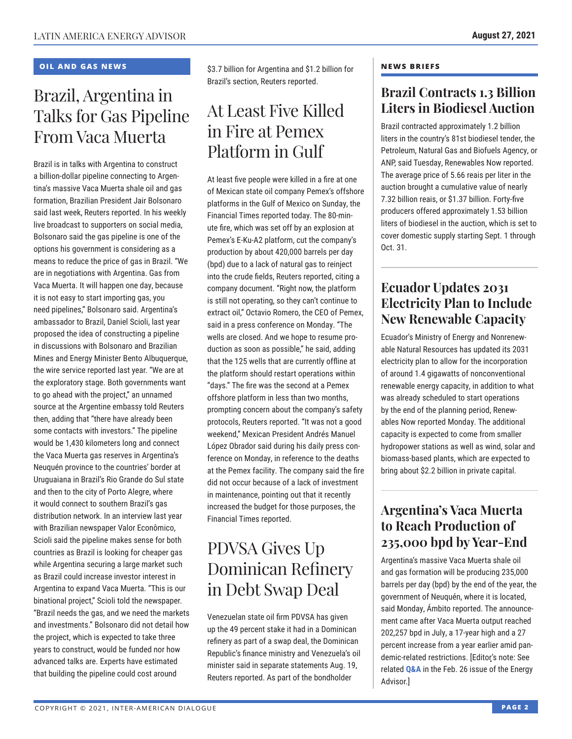### **OIL AND GAS NEWS**

# Brazil, Argentina in Talks for Gas Pipeline From Vaca Muerta

Brazil is in talks with Argentina to construct a billion-dollar pipeline connecting to Argentina's massive Vaca Muerta shale oil and gas formation, Brazilian President Jair Bolsonaro said last week, Reuters reported. In his weekly live broadcast to supporters on social media, Bolsonaro said the gas pipeline is one of the options his government is considering as a means to reduce the price of gas in Brazil. "We are in negotiations with Argentina. Gas from Vaca Muerta. It will happen one day, because it is not easy to start importing gas, you need pipelines," Bolsonaro said. Argentina's ambassador to Brazil, Daniel Scioli, last year proposed the idea of constructing a pipeline in discussions with Bolsonaro and Brazilian Mines and Energy Minister Bento Albuquerque, the wire service reported last year. "We are at the exploratory stage. Both governments want to go ahead with the project," an unnamed source at the Argentine embassy told Reuters then, adding that "there have already been some contacts with investors." The pipeline would be 1,430 kilometers long and connect the Vaca Muerta gas reserves in Argentina's Neuquén province to the countries' border at Uruguaiana in Brazil's Rio Grande do Sul state and then to the city of Porto Alegre, where it would connect to southern Brazil's gas distribution network. In an interview last year with Brazilian newspaper Valor Econômico, Scioli said the pipeline makes sense for both countries as Brazil is looking for cheaper gas while Argentina securing a large market such as Brazil could increase investor interest in Argentina to expand Vaca Muerta. "This is our binational project," Scioli told the newspaper. "Brazil needs the gas, and we need the markets and investments." Bolsonaro did not detail how the project, which is expected to take three years to construct, would be funded nor how advanced talks are. Experts have estimated that building the pipeline could cost around

\$3.7 billion for Argentina and \$1.2 billion for Brazil's section, Reuters reported.

# At Least Five Killed in Fire at Pemex Platform in Gulf

At least five people were killed in a fire at one of Mexican state oil company Pemex's offshore platforms in the Gulf of Mexico on Sunday, the Financial Times reported today. The 80-minute fire, which was set off by an explosion at Pemex's E-Ku-A2 platform, cut the company's production by about 420,000 barrels per day (bpd) due to a lack of natural gas to reinject into the crude fields, Reuters reported, citing a company document. "Right now, the platform is still not operating, so they can't continue to extract oil," Octavio Romero, the CEO of Pemex, said in a press conference on Monday. "The wells are closed. And we hope to resume production as soon as possible," he said, adding that the 125 wells that are currently offline at the platform should restart operations within "days." The fire was the second at a Pemex offshore platform in less than two months, prompting concern about the company's safety protocols, Reuters reported. "It was not a good weekend," Mexican President Andrés Manuel López Obrador said during his daily press conference on Monday, in reference to the deaths at the Pemex facility. The company said the fire did not occur because of a lack of investment in maintenance, pointing out that it recently increased the budget for those purposes, the Financial Times reported.

# PDVSA Gives Up Dominican Refinery in Debt Swap Deal

Venezuelan state oil firm PDVSA has given up the 49 percent stake it had in a Dominican refinery as part of a swap deal, the Dominican Republic's finance ministry and Venezuela's oil minister said in separate statements Aug. 19, Reuters reported. As part of the bondholder

### **NEWS BRIEFS**

## **Brazil Contracts 1.3 Billion Liters in Biodiesel Auction**

Brazil contracted approximately 1.2 billion liters in the country's 81st biodiesel tender, the Petroleum, Natural Gas and Biofuels Agency, or ANP, said Tuesday, Renewables Now reported. The average price of 5.66 reais per liter in the auction brought a cumulative value of nearly 7.32 billion reais, or \$1.37 billion. Forty-five producers offered approximately 1.53 billion liters of biodiesel in the auction, which is set to cover domestic supply starting Sept. 1 through Oct. 31.

## **Ecuador Updates 2031 Electricity Plan to Include New Renewable Capacity**

Ecuador's Ministry of Energy and Nonrenewable Natural Resources has updated its 2031 electricity plan to allow for the incorporation of around 1.4 gigawatts of nonconventional renewable energy capacity, in addition to what was already scheduled to start operations by the end of the planning period, Renewables Now reported Monday. The additional capacity is expected to come from smaller hydropower stations as well as wind, solar and biomass-based plants, which are expected to bring about \$2.2 billion in private capital.

## **Argentina's Vaca Muerta to Reach Production of 235,000 bpd by Year-End**

Argentina's massive Vaca Muerta shale oil and gas formation will be producing 235,000 barrels per day (bpd) by the end of the year, the government of Neuquén, where it is located, said Monday, Ámbito reported. The announcement came after Vaca Muerta output reached 202,257 bpd in July, a 17-year high and a 27 percent increase from a year earlier amid pandemic-related restrictions. [Editor's note: See related **[Q&A](http://www.thedialogue.org/wp-content/uploads/2021/02/LEA210226.pdf)** in the Feb. 26 issue of the Energy Advisor.]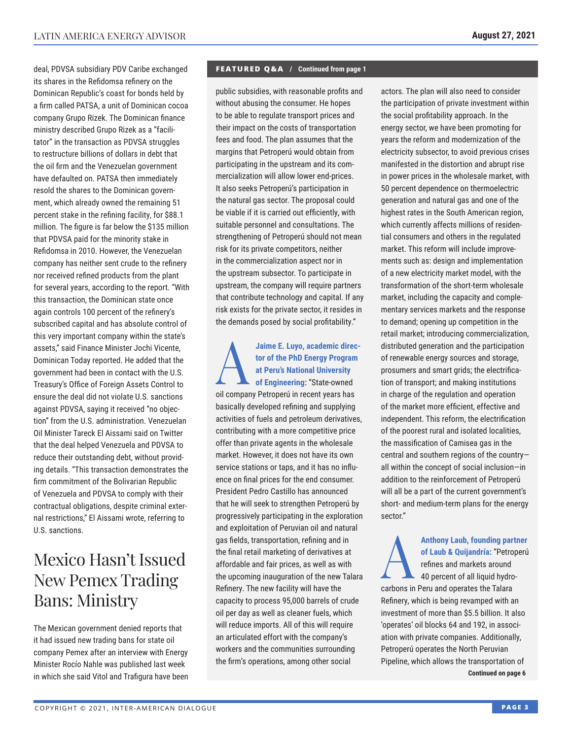deal, PDVSA subsidiary PDV Caribe exchanged its shares in the Refidomsa refinery on the Dominican Republic's coast for bonds held by a firm called PATSA, a unit of Dominican cocoa company Grupo Rizek. The Dominican finance ministry described Grupo Rizek as a "facilitator" in the transaction as PDVSA struggles to restructure billions of dollars in debt that the oil firm and the Venezuelan government have defaulted on. PATSA then immediately resold the shares to the Dominican government, which already owned the remaining 51 percent stake in the refining facility, for \$88.1 million. The figure is far below the \$135 million that PDVSA paid for the minority stake in Refidomsa in 2010. However, the Venezuelan company has neither sent crude to the refinery nor received refined products from the plant for several years, according to the report. "With this transaction, the Dominican state once again controls 100 percent of the refinery's subscribed capital and has absolute control of this very important company within the state's assets," said Finance Minister Jochi Vicente, Dominican Today reported. He added that the government had been in contact with the U.S. Treasury's Office of Foreign Assets Control to ensure the deal did not violate U.S. sanctions against PDVSA, saying it received "no objection" from the U.S. administration. Venezuelan Oil Minister Tareck El Aissami said on Twitter that the deal helped Venezuela and PDVSA to reduce their outstanding debt, without providing details. "This transaction demonstrates the firm commitment of the Bolivarian Republic of Venezuela and PDVSA to comply with their contractual obligations, despite criminal external restrictions," El Aissami wrote, referring to U.S. sanctions.

# Mexico Hasn't Issued New Pemex Trading Bans: Ministry

The Mexican government denied reports that it had issued new trading bans for state oil company Pemex after an interview with Energy Minister Rocío Nahle was published last week in which she said Vitol and Trafigura have been

#### **FEATURED Q&A / Continued from page 1**

public subsidies, with reasonable profits and without abusing the consumer. He hopes to be able to regulate transport prices and their impact on the costs of transportation fees and food. The plan assumes that the margins that Petroperú would obtain from participating in the upstream and its commercialization will allow lower end-prices. It also seeks Petroperú's participation in the natural gas sector. The proposal could be viable if it is carried out efficiently, with suitable personnel and consultations. The strengthening of Petroperú should not mean risk for its private competitors, neither in the commercialization aspect nor in the upstream subsector. To participate in upstream, the company will require partners that contribute technology and capital. If any risk exists for the private sector, it resides in the demands posed by social profitability."

**AJaime E. Luyo, academic director of the PhD Energy Program<br>
at Peru's National University<br>
of Engineering: "State-owned tor of the PhD Energy Program at Peru's National University of Engineering:** "State-owned oil company Petroperú in recent years has basically developed refining and supplying activities of fuels and petroleum derivatives, contributing with a more competitive price offer than private agents in the wholesale market. However, it does not have its own service stations or taps, and it has no influence on final prices for the end consumer. President Pedro Castillo has announced that he will seek to strengthen Petroperú by progressively participating in the exploration and exploitation of Peruvian oil and natural gas fields, transportation, refining and in the final retail marketing of derivatives at affordable and fair prices, as well as with the upcoming inauguration of the new Talara Refinery. The new facility will have the capacity to process 95,000 barrels of crude oil per day as well as cleaner fuels, which will reduce imports. All of this will require an articulated effort with the company's workers and the communities surrounding the firm's operations, among other social

actors. The plan will also need to consider the participation of private investment within the social profitability approach. In the energy sector, we have been promoting for years the reform and modernization of the electricity subsector, to avoid previous crises manifested in the distortion and abrupt rise in power prices in the wholesale market, with 50 percent dependence on thermoelectric generation and natural gas and one of the highest rates in the South American region, which currently affects millions of residential consumers and others in the regulated market. This reform will include improvements such as: design and implementation of a new electricity market model, with the transformation of the short-term wholesale market, including the capacity and complementary services markets and the response to demand; opening up competition in the retail market; introducing commercialization, distributed generation and the participation of renewable energy sources and storage, prosumers and smart grids; the electrification of transport; and making institutions in charge of the regulation and operation of the market more efficient, effective and independent. This reform, the electrification of the poorest rural and isolated localities, the massification of Camisea gas in the central and southern regions of the country all within the concept of social inclusion—in addition to the reinforcement of Petroperú will all be a part of the current government's short- and medium-term plans for the energy sector."

Anthony Laub, founding partner<br>of Laub & Quijandría: "Petroperú<br>refines and markets around<br>40 percent of all liquid hydro**of Laub & Quijandría:** "Petroperú refines and markets around 40 percent of all liquid hydrocarbons in Peru and operates the Talara Refinery, which is being revamped with an investment of more than \$5.5 billion. It also 'operates' oil blocks 64 and 192, in association with private companies. Additionally, Petroperú operates the North Peruvian Pipeline, which allows the transportation of **Continued on page 6**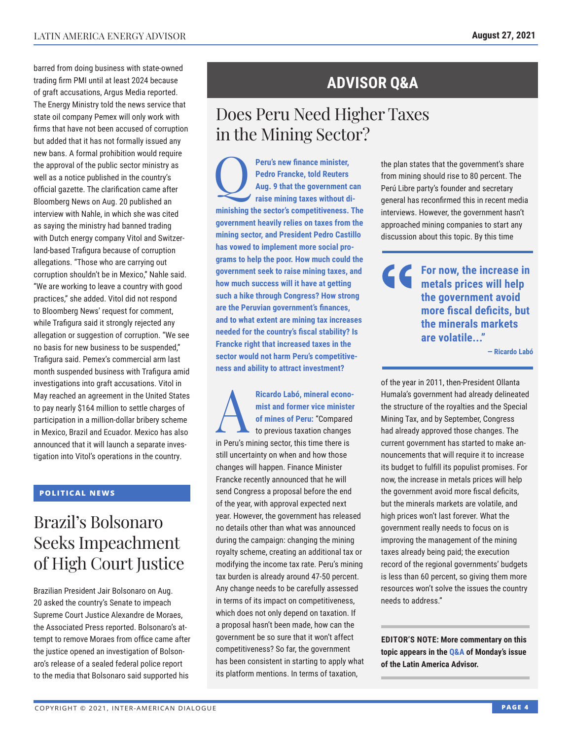barred from doing business with state-owned trading firm PMI until at least 2024 because of graft accusations, Argus Media reported. The Energy Ministry told the news service that state oil company Pemex will only work with firms that have not been accused of corruption but added that it has not formally issued any new bans. A formal prohibition would require the approval of the public sector ministry as well as a notice published in the country's official gazette. The clarification came after Bloomberg News on Aug. 20 published an interview with Nahle, in which she was cited as saying the ministry had banned trading with Dutch energy company Vitol and Switzerland-based Trafigura because of corruption allegations. "Those who are carrying out corruption shouldn't be in Mexico," Nahle said. "We are working to leave a country with good practices," she added. Vitol did not respond to Bloomberg News' request for comment, while Trafigura said it strongly rejected any allegation or suggestion of corruption. "We see no basis for new business to be suspended," Trafigura said. Pemex's commercial arm last month suspended business with Trafigura amid investigations into graft accusations. Vitol in May reached an agreement in the United States to pay nearly \$164 million to settle charges of participation in a million-dollar bribery scheme in Mexico, Brazil and Ecuador. Mexico has also announced that it will launch a separate investigation into Vitol's operations in the country.

### **POLITICAL NEWS**

# Brazil's Bolsonaro Seeks Impeachment of High Court Justice

Brazilian President Jair Bolsonaro on Aug. 20 asked the country's Senate to impeach Supreme Court Justice Alexandre de Moraes, the Associated Press reported. Bolsonaro's attempt to remove Moraes from office came after the justice opened an investigation of Bolsonaro's release of a sealed federal police report to the media that Bolsonaro said supported his

## **ADVISOR Q&A**

# Does Peru Need Higher Taxes in the Mining Sector?

**Peru's new finance minister,<br>Pedro Francke, told Reuters<br>Aug. 9 that the government of<br>raise mining taxes without di Pedro Francke, told Reuters Aug. 9 that the government can raise mining taxes without diminishing the sector's competitiveness. The government heavily relies on taxes from the mining sector, and President Pedro Castillo has vowed to implement more social programs to help the poor. How much could the government seek to raise mining taxes, and how much success will it have at getting such a hike through Congress? How strong are the Peruvian government's finances, and to what extent are mining tax increases needed for the country's fiscal stability? Is Francke right that increased taxes in the sector would not harm Peru's competitiveness and ability to attract investment?**

Ricardo Labó, mineral economist and former vice minister<br>
of mines of Peru: "Compared<br>
to previous taxation changes<br>
in Peru's minimum extendition than the site **mist and former vice minister of mines of Peru:** "Compared in Peru's mining sector, this time there is still uncertainty on when and how those changes will happen. Finance Minister Francke recently announced that he will send Congress a proposal before the end of the year, with approval expected next year. However, the government has released no details other than what was announced during the campaign: changing the mining royalty scheme, creating an additional tax or modifying the income tax rate. Peru's mining tax burden is already around 47-50 percent. Any change needs to be carefully assessed in terms of its impact on competitiveness, which does not only depend on taxation. If a proposal hasn't been made, how can the government be so sure that it won't affect competitiveness? So far, the government has been consistent in starting to apply what its platform mentions. In terms of taxation,

the plan states that the government's share from mining should rise to 80 percent. The Perú Libre party's founder and secretary general has reconfirmed this in recent media interviews. However, the government hasn't approached mining companies to start any discussion about this topic. By this time

**For now, the increase in metals prices will help the government avoid more fiscal deficits, but the minerals markets are volatile..."**

**— Ricardo Labó**

of the year in 2011, then-President Ollanta Humala's government had already delineated the structure of the royalties and the Special Mining Tax, and by September, Congress had already approved those changes. The current government has started to make announcements that will require it to increase its budget to fulfill its populist promises. For now, the increase in metals prices will help the government avoid more fiscal deficits, but the minerals markets are volatile, and high prices won't last forever. What the government really needs to focus on is improving the management of the mining taxes already being paid; the execution record of the regional governments' budgets is less than 60 percent, so giving them more resources won't solve the issues the country needs to address."

**EDITOR'S NOTE: More commentary on this topic appears in the Q&A of Monday's issue of the Latin Ame[rica Advisor.](http://www.thedialogue.org/wp-content/uploads/2021/08/LAA210823.pdf)**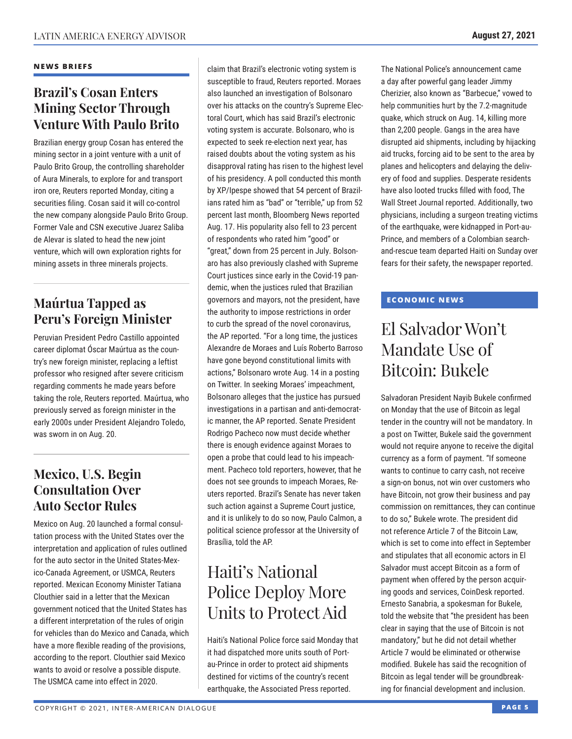### **NEWS BRIEFS**

## **Brazil's Cosan Enters Mining Sector Through Venture With Paulo Brito**

Brazilian energy group Cosan has entered the mining sector in a joint venture with a unit of Paulo Brito Group, the controlling shareholder of Aura Minerals, to explore for and transport iron ore, Reuters reported Monday, citing a securities filing. Cosan said it will co-control the new company alongside Paulo Brito Group. Former Vale and CSN executive Juarez Saliba de Alevar is slated to head the new joint venture, which will own exploration rights for mining assets in three minerals projects.

## **Maúrtua Tapped as Peru's Foreign Minister**

Peruvian President Pedro Castillo appointed career diplomat Óscar Maúrtua as the country's new foreign minister, replacing a leftist professor who resigned after severe criticism regarding comments he made years before taking the role, Reuters reported. Maúrtua, who previously served as foreign minister in the early 2000s under President Alejandro Toledo, was sworn in on Aug. 20.

## **Mexico, U.S. Begin Consultation Over Auto Sector Rules**

Mexico on Aug. 20 launched a formal consultation process with the United States over the interpretation and application of rules outlined for the auto sector in the United States-Mexico-Canada Agreement, or USMCA, Reuters reported. Mexican Economy Minister Tatiana Clouthier said in a letter that the Mexican government noticed that the United States has a different interpretation of the rules of origin for vehicles than do Mexico and Canada, which have a more flexible reading of the provisions, according to the report. Clouthier said Mexico wants to avoid or resolve a possible dispute. The USMCA came into effect in 2020.

claim that Brazil's electronic voting system is susceptible to fraud, Reuters reported. Moraes also launched an investigation of Bolsonaro over his attacks on the country's Supreme Electoral Court, which has said Brazil's electronic voting system is accurate. Bolsonaro, who is expected to seek re-election next year, has raised doubts about the voting system as his disapproval rating has risen to the highest level of his presidency. A poll conducted this month by XP/Ipespe showed that 54 percent of Brazilians rated him as "bad" or "terrible," up from 52 percent last month, Bloomberg News reported Aug. 17. His popularity also fell to 23 percent of respondents who rated him "good" or "great," down from 25 percent in July. Bolsonaro has also previously clashed with Supreme Court justices since early in the Covid-19 pandemic, when the justices ruled that Brazilian governors and mayors, not the president, have the authority to impose restrictions in order to curb the spread of the novel coronavirus, the AP reported. "For a long time, the justices Alexandre de Moraes and Luís Roberto Barroso have gone beyond constitutional limits with actions," Bolsonaro wrote Aug. 14 in a posting on Twitter. In seeking Moraes' impeachment, Bolsonaro alleges that the justice has pursued investigations in a partisan and anti-democratic manner, the AP reported. Senate President Rodrigo Pacheco now must decide whether there is enough evidence against Moraes to open a probe that could lead to his impeachment. Pacheco told reporters, however, that he does not see grounds to impeach Moraes, Reuters reported. Brazil's Senate has never taken such action against a Supreme Court justice, and it is unlikely to do so now, Paulo Calmon, a political science professor at the University of Brasília, told the AP.

# Haiti's National Police Deploy More Units to Protect Aid

Haiti's National Police force said Monday that it had dispatched more units south of Portau-Prince in order to protect aid shipments destined for victims of the country's recent earthquake, the Associated Press reported.

The National Police's announcement came a day after powerful gang leader Jimmy Cherizier, also known as "Barbecue," vowed to help communities hurt by the 7.2-magnitude quake, which struck on Aug. 14, killing more than 2,200 people. Gangs in the area have disrupted aid shipments, including by hijacking aid trucks, forcing aid to be sent to the area by planes and helicopters and delaying the delivery of food and supplies. Desperate residents have also looted trucks filled with food, The Wall Street Journal reported. Additionally, two physicians, including a surgeon treating victims of the earthquake, were kidnapped in Port-au-Prince, and members of a Colombian searchand-rescue team departed Haiti on Sunday over fears for their safety, the newspaper reported.

### **ECONOMIC NEWS**

# El Salvador Won't Mandate Use of Bitcoin: Bukele

Salvadoran President Nayib Bukele confirmed on Monday that the use of Bitcoin as legal tender in the country will not be mandatory. In a post on Twitter, Bukele said the government would not require anyone to receive the digital currency as a form of payment. "If someone wants to continue to carry cash, not receive a sign-on bonus, not win over customers who have Bitcoin, not grow their business and pay commission on remittances, they can continue to do so," Bukele wrote. The president did not reference Article 7 of the Bitcoin Law, which is set to come into effect in September and stipulates that all economic actors in El Salvador must accept Bitcoin as a form of payment when offered by the person acquiring goods and services, CoinDesk reported. Ernesto Sanabria, a spokesman for Bukele, told the website that "the president has been clear in saying that the use of Bitcoin is not mandatory," but he did not detail whether Article 7 would be eliminated or otherwise modified. Bukele has said the recognition of Bitcoin as legal tender will be groundbreaking for financial development and inclusion.